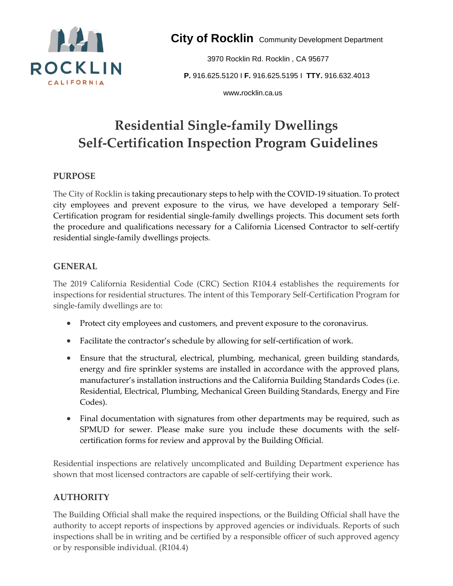

**City of Rocklin** Community Development Department

3970 Rocklin Rd. Rocklin , CA 95677 **P.** 916.625.5120 I **F.** 916.625.5195 I **TTY.** 916.632.4013

www**.**rocklin.ca.us

# **Residential Single-family Dwellings Self-Certification Inspection Program Guidelines**

### **PURPOSE**

The City of Rocklin is taking precautionary steps to help with the COVID-19 situation. To protect city employees and prevent exposure to the virus, we have developed a temporary Self-Certification program for residential single-family dwellings projects. This document sets forth the procedure and qualifications necessary for a California Licensed Contractor to self-certify residential single-family dwellings projects.

### **GENERAL**

The 2019 California Residential Code (CRC) Section R104.4 establishes the requirements for inspections for residential structures. The intent of this Temporary Self-Certification Program for single-family dwellings are to:

- Protect city employees and customers, and prevent exposure to the coronavirus.
- Facilitate the contractor's schedule by allowing for self-certification of work.
- Ensure that the structural, electrical, plumbing, mechanical, green building standards, energy and fire sprinkler systems are installed in accordance with the approved plans, manufacturer's installation instructions and the California Building Standards Codes (i.e. Residential, Electrical, Plumbing, Mechanical Green Building Standards, Energy and Fire Codes).
- Final documentation with signatures from other departments may be required, such as SPMUD for sewer. Please make sure you include these documents with the selfcertification forms for review and approval by the Building Official.

Residential inspections are relatively uncomplicated and Building Department experience has shown that most licensed contractors are capable of self-certifying their work.

#### **AUTHORITY**

The Building Official shall make the required inspections, or the Building Official shall have the authority to accept reports of inspections by approved agencies or individuals. Reports of such inspections shall be in writing and be certified by a responsible officer of such approved agency or by responsible individual. (R104.4)